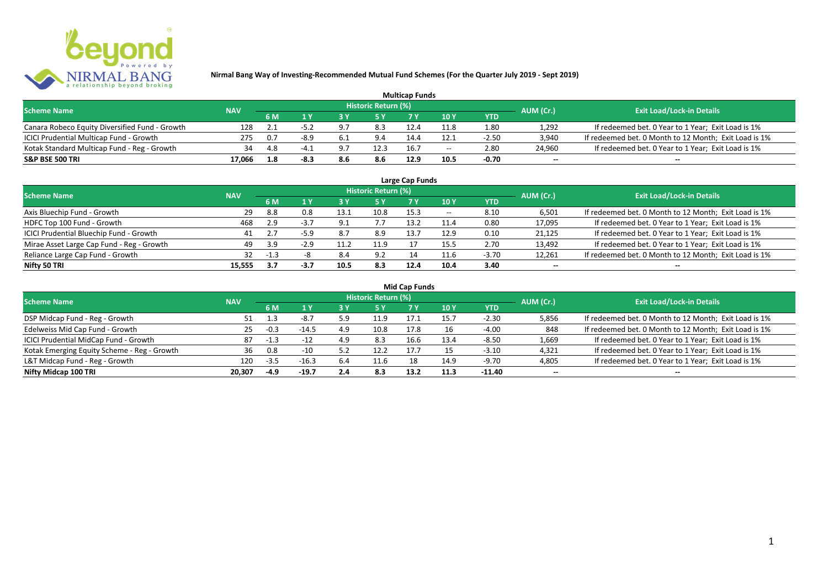

| <b>Multicap Funds</b>                          |            |     |      |     |                            |      |                          |         |                          |                                                       |  |  |
|------------------------------------------------|------------|-----|------|-----|----------------------------|------|--------------------------|---------|--------------------------|-------------------------------------------------------|--|--|
| <b>Scheme Name</b>                             | <b>NAV</b> |     |      |     | <b>Historic Return (%)</b> |      |                          |         | AUM (Cr.)                | <b>Exit Load/Lock-in Details</b>                      |  |  |
|                                                |            | 6 M |      |     |                            |      | 10Y                      | YTD     |                          |                                                       |  |  |
| Canara Robeco Equity Diversified Fund - Growth | 128        |     |      |     | 8.3                        |      | 11.8                     | 1.80    | 1,292                    | If redeemed bet. 0 Year to 1 Year; Exit Load is 1%    |  |  |
| ICICI Prudential Multicap Fund - Growth        | 275        | 0.7 | -8.9 | 6.1 | 9.4                        | 14.4 | 12.1                     | $-2.50$ | 3,940                    | If redeemed bet. 0 Month to 12 Month; Exit Load is 1% |  |  |
| Kotak Standard Multicap Fund - Reg - Growth    | 34         |     |      | a   | 12.3                       | 16.7 | $\overline{\phantom{a}}$ | 2.80    | 24,960                   | If redeemed bet. 0 Year to 1 Year; Exit Load is 1%    |  |  |
| S&P BSE 500 TRI                                | 17.066     | L.8 | -8.: | 8.6 | 8.6                        | 12.9 |                          | $-0.70$ | $\overline{\phantom{a}}$ | $\overline{\phantom{a}}$                              |  |  |

| Large Cap Funds<br>Historic Return (%)    |            |        |        |      |      |      |       |            |                          |                                                       |  |  |
|-------------------------------------------|------------|--------|--------|------|------|------|-------|------------|--------------------------|-------------------------------------------------------|--|--|
| <b>Scheme Name</b>                        | <b>NAV</b> | 6 M    | 1 Y    |      | 5 Y  |      | 10Y   | <b>YTD</b> | AUM (Cr.)                | <b>Exit Load/Lock-in Details</b>                      |  |  |
| Axis Bluechip Fund - Growth               | 29         | 8.8    | 0.8    | 13.1 | 10.8 | 15.3 | $- -$ | 8.10       | 6,501                    | If redeemed bet. 0 Month to 12 Month; Exit Load is 1% |  |  |
| HDFC Top 100 Fund - Growth                | 468        | 2.9    | $-3.7$ | ົດ - |      | 13.2 | 11.4  | 0.80       | 17,095                   | If redeemed bet. 0 Year to 1 Year; Exit Load is 1%    |  |  |
| ICICI Prudential Bluechip Fund - Growth   | 41         |        | $-5.9$ | 8.7  | 8.9  | 13.7 | 12.9  | 0.10       | 21,125                   | If redeemed bet. 0 Year to 1 Year; Exit Load is 1%    |  |  |
| Mirae Asset Large Cap Fund - Reg - Growth | 49         | 3.9    | $-2.9$ |      | 11.9 |      | 15.5  | 2.70       | 13,492                   | If redeemed bet. 0 Year to 1 Year; Exit Load is 1%    |  |  |
| Reliance Large Cap Fund - Growth          | 32         | $-1.3$ |        | 8.4  | 9.2  | 14   | 11.6  | $-3.70$    | 12,261                   | If redeemed bet. 0 Month to 12 Month; Exit Load is 1% |  |  |
| Nifty 50 TRI                              | 15.555     | 3.7    | $-3.7$ | 10.5 | 8.3  | 12.4 | 10.4  | 3.40       | $\overline{\phantom{a}}$ | $\overline{\phantom{a}}$                              |  |  |

|  |  | <b>Mid Cap Funds</b> |
|--|--|----------------------|
|--|--|----------------------|

| <b>Scheme Name</b>                          | <b>NAV</b> |        |         |            | <b>Historic Return (%)</b> |      |      |            | AUM (Cr.)                | <b>Exit Load/Lock-in Details</b>                      |
|---------------------------------------------|------------|--------|---------|------------|----------------------------|------|------|------------|--------------------------|-------------------------------------------------------|
|                                             |            | 6 M    |         |            | 15 Y                       |      | 10 Y | <b>YTD</b> |                          |                                                       |
| DSP Midcap Fund - Reg - Growth              | 51         | 1.3    | $-8.7$  | 5 Q<br>J.J | 11.9                       | 17.1 | 15.7 | $-2.30$    | 5,856                    | If redeemed bet. 0 Month to 12 Month; Exit Load is 1% |
| Edelweiss Mid Cap Fund - Growth             | 25         | $-0.3$ | $-14.5$ | 4.9        | 10.8                       | 17.8 |      | $-4.00$    | 848                      | If redeemed bet. 0 Month to 12 Month; Exit Load is 1% |
| ICICI Prudential MidCap Fund - Growth       | 87         | $-1.3$ | $-12$   | 4.9        | 8.3                        | 16.6 | 13.4 | $-8.50$    | 1,669                    | If redeemed bet. 0 Year to 1 Year; Exit Load is 1%    |
| Kotak Emerging Equity Scheme - Reg - Growth | 36         | 0.8    | $-10$   |            | 12.7                       |      |      | $-3.10$    | 4,321                    | If redeemed bet. 0 Year to 1 Year; Exit Load is 1%    |
| L&T Midcap Fund - Reg - Growth              | 120        | $-3.5$ | $-16.3$ | 6.4        | 11.6                       | 18   | 14.9 | $-9.70$    | 4,805                    | If redeemed bet. 0 Year to 1 Year; Exit Load is 1%    |
| Nifty Midcap 100 TRI                        | 20.307     | $-4.9$ | $-19.7$ | 2.4        | 8.3                        | 13.2 | 11.3 | $-11.40$   | $\overline{\phantom{a}}$ | $\overline{\phantom{a}}$                              |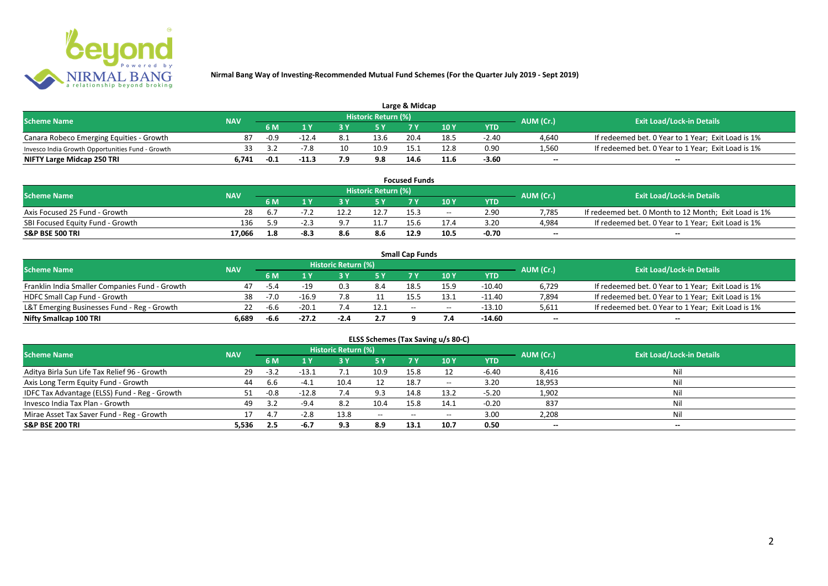

| Large & Midcap                                   |            |        |         |                                                             |                     |      |      |         |       |                                                    |  |  |
|--------------------------------------------------|------------|--------|---------|-------------------------------------------------------------|---------------------|------|------|---------|-------|----------------------------------------------------|--|--|
| <b>Scheme Name</b>                               | <b>NAV</b> |        |         |                                                             | Historic Return (%) |      |      |         |       |                                                    |  |  |
|                                                  |            | 6 M    |         | <b>Exit Load/Lock-in Details</b><br>AUM (Cr.)<br>10Y<br>YTD |                     |      |      |         |       |                                                    |  |  |
| Canara Robeco Emerging Equities - Growth         |            | $-0.9$ | $-12.4$ |                                                             | 13.6                | 20.4 | 18.5 | $-2.40$ | 4,640 | If redeemed bet. 0 Year to 1 Year; Exit Load is 1% |  |  |
| Invesco India Growth Opportunities Fund - Growth |            |        |         |                                                             | 10.9                | 15.1 | 12.8 | 0.90    | 1,560 | If redeemed bet. 0 Year to 1 Year; Exit Load is 1% |  |  |
| NIFTY Large Midcap 250 TRI                       | 6.741      | $-0.1$ |         |                                                             | 9.8                 | 14.6 | 11.6 | -3.60   | $-$   | $- -$                                              |  |  |

| <b>Focused Funds</b>             |            |     |        |  |                     |      |       |            |           |                                                       |  |
|----------------------------------|------------|-----|--------|--|---------------------|------|-------|------------|-----------|-------------------------------------------------------|--|
| <b>Scheme Name</b>               | <b>NAV</b> |     |        |  | Historic Return (%) |      |       |            | AUM (Cr.) | <b>Exit Load/Lock-in Details</b>                      |  |
|                                  |            | 6 M | i v    |  | <b>EV</b>           | 7 V  | 10 Y  | <b>YTD</b> |           |                                                       |  |
| Axis Focused 25 Fund - Growth    | 28         | b.7 |        |  | 12.7                | 15.3 | $- -$ | 2.90       | 7,785     | If redeemed bet. 0 Month to 12 Month; Exit Load is 1% |  |
| SBI Focused Equity Fund - Growth | 136        | 50  | $-2.7$ |  | 11.7                | 15.6 |       | 3.20       | 4,984     | If redeemed bet. 0 Year to 1 Year; Exit Load is 1%    |  |
| <b>S&amp;P BSE 500 TRI</b>       | 17.066     | 1.8 | -8.3   |  |                     | 12.9 | 10.5  | -0.70      | $-$       | $- -$                                                 |  |

|                                                |            |        |                          |                     |      | <b>Small Cap Funds</b> |                                       |          |                          |                                                    |
|------------------------------------------------|------------|--------|--------------------------|---------------------|------|------------------------|---------------------------------------|----------|--------------------------|----------------------------------------------------|
| <b>Scheme Name</b>                             | <b>NAV</b> |        |                          | Historic Return (%) |      |                        |                                       |          |                          | <b>Exit Load/Lock-in Details</b>                   |
|                                                |            | 6 M    | AUM (Cr.)<br>10 Y<br>YTD |                     |      |                        |                                       |          |                          |                                                    |
| Franklin India Smaller Companies Fund - Growth | 47         | $-5.4$ |                          |                     | 8.4  | 18.5                   | 15.9                                  | -10.40   | 6,729                    | If redeemed bet. 0 Year to 1 Year; Exit Load is 1% |
| HDFC Small Cap Fund - Growth                   | 38         | $-7.0$ | $-16.9$                  | 7.8                 |      | 15.5                   |                                       | $-11.40$ | 7,894                    | If redeemed bet. 0 Year to 1 Year; Exit Load is 1% |
| L&T Emerging Businesses Fund - Reg - Growth    |            | -6.6   | $-20.1$                  |                     | 12.1 | $-$                    | $\hspace{0.05cm}$ – $\hspace{0.05cm}$ | $-13.10$ | 5,611                    | If redeemed bet. 0 Year to 1 Year; Exit Load is 1% |
| Nifty Smallcap 100 TRI                         | 6.689      | $-6.6$ | $-27.2$                  | $-2.4$              | 2.7  |                        |                                       | -14.60   | $\overline{\phantom{a}}$ | $-$                                                |

| ELSS Schemes (Tax Saving u/s 80-C)            |            |        |         |                     |       |           |                                       |            |                          |                                  |  |  |  |
|-----------------------------------------------|------------|--------|---------|---------------------|-------|-----------|---------------------------------------|------------|--------------------------|----------------------------------|--|--|--|
| <b>Scheme Name</b>                            | <b>NAV</b> |        |         | Historic Return (%) |       |           |                                       |            | AUM (Cr.)                | <b>Exit Load/Lock-in Details</b> |  |  |  |
|                                               |            | 6 M    | 4 V     | 3 Y                 | 75 Y  | <b>7Y</b> | <b>10 Y</b>                           | <b>YTD</b> |                          |                                  |  |  |  |
| Aditya Birla Sun Life Tax Relief 96 - Growth  | 29         | $-3.2$ | $-13.1$ | 7.1                 | 10.9  | 15.8      |                                       | $-6.40$    | 8,416                    | Nil                              |  |  |  |
| Axis Long Term Equity Fund - Growth           | 44         | 6.6    | $-4.1$  | 10.4                |       | 18.7      | $\hspace{0.05cm}$ – $\hspace{0.05cm}$ | 3.20       | 18,953                   | Nil                              |  |  |  |
| IDFC Tax Advantage (ELSS) Fund - Reg - Growth | 51         | $-0.8$ | $-12.8$ | 7.4                 | 9.3   | 14.8      | 13.2                                  | $-5.20$    | 1,902                    | Nil                              |  |  |  |
| Invesco India Tax Plan - Growth               | 49         | 3.2    | $-9.4$  | 8.2                 | 10.4  | 15.8      | 14.1                                  | $-0.20$    | 837                      | Nil                              |  |  |  |
| Mirae Asset Tax Saver Fund - Reg - Growth     |            | 4.7    | $-2.8$  | 13.8                | $- -$ | $- -$     | $- -$                                 | 3.00       | 2,208                    | Nil                              |  |  |  |
| S&P BSE 200 TRI                               | 5,536      | 2.5    | -6.7    | 9.3                 | 8.9   | 13.1      | 10.7                                  | 0.50       | $\overline{\phantom{a}}$ | $\overline{\phantom{a}}$         |  |  |  |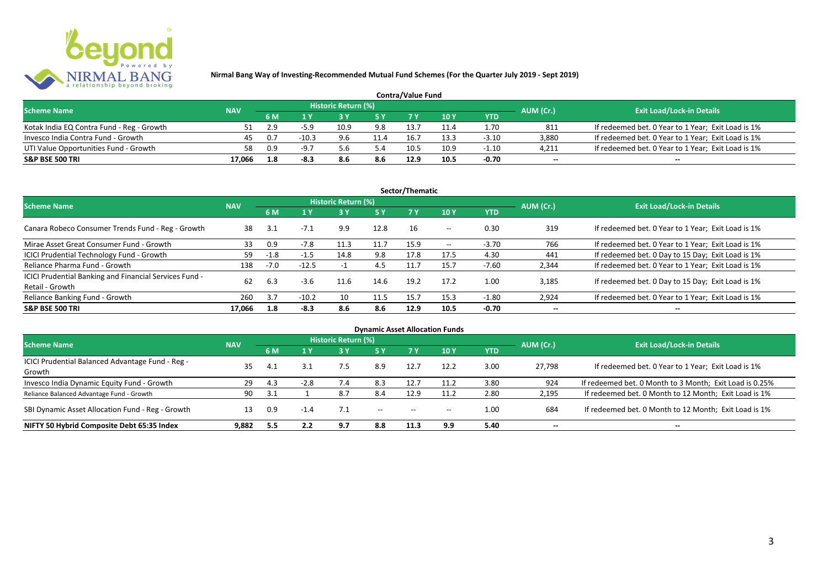

| <b>Contra/Value Fund</b>                  |            |     |         |                     |      |      |      |         |                          |                                                    |  |  |
|-------------------------------------------|------------|-----|---------|---------------------|------|------|------|---------|--------------------------|----------------------------------------------------|--|--|
| <b>Scheme Name</b>                        | <b>NAV</b> |     |         | Historic Return (%) |      |      |      |         | AUM (Cr.)                | <b>Exit Load/Lock-in Details</b>                   |  |  |
|                                           |            | 6 M |         |                     |      |      | 10Y  | YTD     |                          |                                                    |  |  |
| Kotak India EQ Contra Fund - Reg - Growth |            | 2.9 | $-5.0$  | 10.9                | 9.8  | 13.7 |      | 1.70    | 811                      | If redeemed bet. 0 Year to 1 Year; Exit Load is 1% |  |  |
| Invesco India Contra Fund - Growth        | 45         | 0.7 | $-10.3$ | 9.6                 | 11.4 | 16.7 | 13.3 | $-3.10$ | 3.880                    | If redeemed bet. 0 Year to 1 Year; Exit Load is 1% |  |  |
| UTI Value Opportunities Fund - Growth     | 58         | 0.9 | -9.7    | 5.b                 | 5.4  | 10.5 | 10.9 | $-1.10$ | 4,211                    | If redeemed bet. 0 Year to 1 Year; Exit Load is 1% |  |  |
| <b>S&amp;P BSE 500 TRI</b>                | 17.066     | 1.8 | -8      | 8.6                 | 8.6  | 12.9 | 10.5 | -0.70   | $\overline{\phantom{a}}$ | $\overline{\phantom{a}}$                           |  |  |

|                                                                           |            |        |         |                     |           | Sector/Thematic |                   |            |                          |                                                    |
|---------------------------------------------------------------------------|------------|--------|---------|---------------------|-----------|-----------------|-------------------|------------|--------------------------|----------------------------------------------------|
| <b>Scheme Name</b>                                                        | <b>NAV</b> |        |         | Historic Return (%) |           |                 |                   |            | AUM (Cr.)                | <b>Exit Load/Lock-in Details</b>                   |
|                                                                           |            | 6 M    | 1 Y     |                     | <b>5Y</b> | <b>7Y</b>       | 10Y               | <b>YTD</b> |                          |                                                    |
| Canara Robeco Consumer Trends Fund - Reg - Growth                         | 38         | 3.1    | $-7.1$  | 9.9                 | 12.8      | 16              | $- -$             | 0.30       | 319                      | If redeemed bet. 0 Year to 1 Year; Exit Load is 1% |
| Mirae Asset Great Consumer Fund - Growth                                  | 33         | 0.9    | $-7.8$  | 11.3                | 11.7      | 15.9            | $\hspace{0.05cm}$ | $-3.70$    | 766                      | If redeemed bet. 0 Year to 1 Year; Exit Load is 1% |
| ICICI Prudential Technology Fund - Growth                                 | 59         | $-1.8$ | $-1.5$  | 14.8                | 9.8       | 17.8            | 17.5              | 4.30       | 441                      | If redeemed bet. 0 Day to 15 Day; Exit Load is 1%  |
| Reliance Pharma Fund - Growth                                             | 138        | $-7.0$ | $-12.5$ |                     | 4.5       | 11.7            | 15.7              | $-7.60$    | 2,344                    | If redeemed bet. 0 Year to 1 Year; Exit Load is 1% |
| ICICI Prudential Banking and Financial Services Fund -<br>Retail - Growth | 62         | 6.3    | $-3.6$  | 11.6                | 14.6      | 19.2            | 17.2              | 1.00       | 3.185                    | If redeemed bet. 0 Day to 15 Day; Exit Load is 1%  |
| Reliance Banking Fund - Growth                                            | 260        | 3.7    | $-10.2$ | 10                  | 11.5      | 15.7            | 15.3              | $-1.80$    | 2,924                    | If redeemed bet. 0 Year to 1 Year; Exit Load is 1% |
| <b>S&amp;P BSE 500 TRI</b>                                                | 17.066     | 1.8    | $-8.3$  | 8.6                 | 8.6       | 12.9            | 10.5              | -0.70      | $\overline{\phantom{a}}$ | $- -$                                              |

|                                                  |            |     |        |                            |                                       |                                       | <b>Dynamic Asset Allocation Funds</b> |            |                          |                                                         |
|--------------------------------------------------|------------|-----|--------|----------------------------|---------------------------------------|---------------------------------------|---------------------------------------|------------|--------------------------|---------------------------------------------------------|
| Scheme Name                                      | <b>NAV</b> |     |        | <b>Historic Return (%)</b> |                                       |                                       |                                       |            | AUM (Cr.)                | <b>Exit Load/Lock-in Details</b>                        |
|                                                  |            | 6 M | 1 Y    | 73 V.                      | 5 Y                                   |                                       | 10 Y                                  | <b>YTD</b> |                          |                                                         |
| ICICI Prudential Balanced Advantage Fund - Reg - | 35         | 4.1 |        | 7.5                        | 8.9                                   | 12.7                                  | 12.2                                  | 3.00       | 27.798                   | If redeemed bet. 0 Year to 1 Year; Exit Load is 1%      |
| Growth                                           |            |     |        |                            |                                       |                                       |                                       |            |                          |                                                         |
| Invesco India Dynamic Equity Fund - Growth       | 29         | 4.3 | $-2.8$ |                            | 8.3                                   |                                       |                                       | 3.80       | 924                      | If redeemed bet. 0 Month to 3 Month; Exit Load is 0.25% |
| Reliance Balanced Advantage Fund - Growth        | 90         | 3.1 |        | 8.7                        | 8.4                                   | 12.9                                  | 11.2                                  | 2.80       | 2,195                    | If redeemed bet. 0 Month to 12 Month; Exit Load is 1%   |
| SBI Dynamic Asset Allocation Fund - Reg - Growth |            | 0.9 | $-1.4$ | 7.1                        | $\hspace{0.05cm}$ – $\hspace{0.05cm}$ | $\hspace{0.05cm}$ – $\hspace{0.05cm}$ | $- -$                                 | 1.00       | 684                      | If redeemed bet. 0 Month to 12 Month; Exit Load is 1%   |
| NIFTY 50 Hybrid Composite Debt 65:35 Index       | 9,882      | 5.5 | 2.2    | 9.7                        | 8.8                                   | 11.3                                  | 9.9                                   | 5.40       | $\overline{\phantom{a}}$ | $- -$                                                   |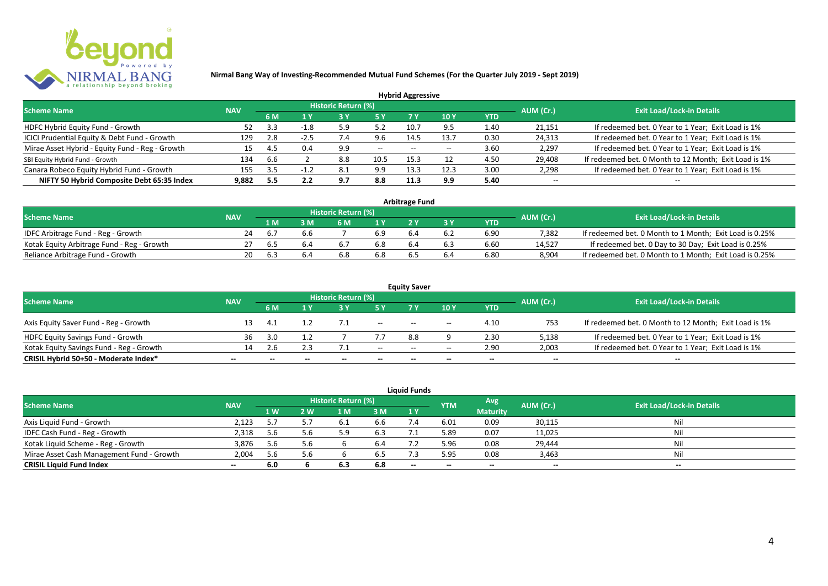

|                                                 |            |     |        |                            |       | <b>Hybrid Aggressive</b> |      |      |                          |                                                       |
|-------------------------------------------------|------------|-----|--------|----------------------------|-------|--------------------------|------|------|--------------------------|-------------------------------------------------------|
| <b>Scheme Name</b>                              | <b>NAV</b> |     |        | <b>Historic Return (%)</b> |       |                          |      |      | AUM (Cr.)                | <b>Exit Load/Lock-in Details</b>                      |
|                                                 |            | 6 M | 1 Y    | 7 Y<br>10Y<br>YTD          |       |                          |      |      |                          |                                                       |
| HDFC Hybrid Equity Fund - Growth                |            |     | $-1.8$ | 5.9                        | 5.2   | 10.7                     | 9.5  | 1.40 | 21,151                   | If redeemed bet. 0 Year to 1 Year; Exit Load is 1%    |
| ICICI Prudential Equity & Debt Fund - Growth    | 129        | 2.8 | $-2.5$ |                            | 9.6   | 14.5                     | 13.7 | 0.30 | 24,313                   | If redeemed bet. 0 Year to 1 Year; Exit Load is 1%    |
| Mirae Asset Hybrid - Equity Fund - Reg - Growth | 15         | 4.5 | 0.4    | 9.9                        | $- -$ | $-$                      |      | 3.60 | 2,297                    | If redeemed bet. 0 Year to 1 Year; Exit Load is 1%    |
| SBI Equity Hybrid Fund - Growth                 | 134        | 6.6 |        | 8.8                        | 10.5  | 15.3                     |      | 4.50 | 29,408                   | If redeemed bet. 0 Month to 12 Month; Exit Load is 1% |
| Canara Robeco Equity Hybrid Fund - Growth       | 155        | 3.5 |        | 8.1                        | 9.9   |                          | 12.3 | 3.00 | 2,298                    | If redeemed bet. 0 Year to 1 Year; Exit Load is 1%    |
| NIFTY 50 Hybrid Composite Debt 65:35 Index      | 9,882      | 5.5 | 2.2    | 9.7                        | 8.8   | 11.3                     | 9.9  | 5.40 | $\overline{\phantom{a}}$ | $- -$                                                 |

| <b>Arbitrage Fund</b>                      |            |     |  |                     |     |     |     |            |           |                                                         |  |  |  |  |
|--------------------------------------------|------------|-----|--|---------------------|-----|-----|-----|------------|-----------|---------------------------------------------------------|--|--|--|--|
| <b>Scheme Name</b>                         | <b>NAV</b> |     |  | Historic Return (%) |     |     |     |            | AUM (Cr.) | <b>Exit Load/Lock-in Details</b>                        |  |  |  |  |
|                                            |            | 1 M |  | 6 M                 |     |     |     | <b>YTD</b> |           |                                                         |  |  |  |  |
| IDFC Arbitrage Fund - Reg - Growth         | 24         |     |  |                     | 6.9 |     | 6.2 | 6.90       | 7.382     | If redeemed bet. 0 Month to 1 Month; Exit Load is 0.25% |  |  |  |  |
| Kotak Equity Arbitrage Fund - Reg - Growth |            | 6.5 |  |                     | 6.8 | 6.4 | 6.3 | 6.60       | 14.527    | If redeemed bet. 0 Day to 30 Day; Exit Load is 0.25%    |  |  |  |  |
| Reliance Arbitrage Fund - Growth           | 20         |     |  | 6.8                 | 6.8 |     | 6.4 | 6.80       | 8.904     | If redeemed bet. 0 Month to 1 Month; Exit Load is 0.25% |  |  |  |  |

| <b>Equity Saver</b>                      |                          |     |              |                     |                          |                                       |                                       |                          |                          |                                                       |  |  |  |  |
|------------------------------------------|--------------------------|-----|--------------|---------------------|--------------------------|---------------------------------------|---------------------------------------|--------------------------|--------------------------|-------------------------------------------------------|--|--|--|--|
| <b>Scheme Name</b>                       | <b>NAV</b>               |     |              | Historic Return (%) |                          |                                       |                                       |                          | AUM (Cr.)                | <b>Exit Load/Lock-in Details</b>                      |  |  |  |  |
|                                          |                          | 6 M |              |                     |                          |                                       | 10 Y                                  | YTD                      |                          |                                                       |  |  |  |  |
| Axis Equity Saver Fund - Reg - Growth    |                          | 4.1 |              |                     | $\overline{\phantom{a}}$ | $-$                                   | $\hspace{0.05cm}$ – $\hspace{0.05cm}$ | 4.10                     | 753                      | If redeemed bet. 0 Month to 12 Month; Exit Load is 1% |  |  |  |  |
| <b>HDFC Equity Savings Fund - Growth</b> | 36                       | 3.0 |              |                     |                          | 8.8                                   |                                       | 2.30                     | 5,138                    | If redeemed bet. 0 Year to 1 Year; Exit Load is 1%    |  |  |  |  |
| Kotak Equity Savings Fund - Reg - Growth | 14.                      | 2.6 |              |                     | $- -$                    | $\hspace{0.05cm}$ – $\hspace{0.05cm}$ | $\overline{\phantom{a}}$              | 2.90                     | 2,003                    | If redeemed bet. 0 Year to 1 Year; Exit Load is 1%    |  |  |  |  |
| CRISIL Hybrid 50+50 - Moderate Index*    | $\overline{\phantom{a}}$ |     | $\mathbf{m}$ | $\qquad \qquad$     | $\overline{\phantom{a}}$ | $- -$                                 | $\overline{\phantom{a}}$              | $\overline{\phantom{a}}$ | $\overline{\phantom{a}}$ | $\overline{\phantom{a}}$                              |  |  |  |  |

| <b>Liquid Funds</b>                       |            |     |     |                     |     |       |            |                 |                          |                                  |  |  |  |
|-------------------------------------------|------------|-----|-----|---------------------|-----|-------|------------|-----------------|--------------------------|----------------------------------|--|--|--|
| <b>Scheme Name</b>                        | <b>NAV</b> |     |     | Historic Return (%) |     |       | <b>YTM</b> | Avg             | AUM (Cr.)                | <b>Exit Load/Lock-in Details</b> |  |  |  |
|                                           |            | 1 W | 2 W | 1 M                 | 3 M | 1Y    |            | <b>Maturity</b> |                          |                                  |  |  |  |
| Axis Liquid Fund - Growth                 | 2.123      | 5.7 |     |                     | 6.6 |       | 6.01       | 0.09            | 30,115                   | Nil                              |  |  |  |
| IDFC Cash Fund - Reg - Growth             | 2,318      | 5.6 | 5.6 |                     | 6.3 |       | 5.89       | 0.07            | 11,025                   | Nil                              |  |  |  |
| Kotak Liquid Scheme - Reg - Growth        | 3,876      | 5.6 | 5.6 |                     | 6.4 |       | 5.96       | 0.08            | 29,444                   | Nil                              |  |  |  |
| Mirae Asset Cash Management Fund - Growth | 2,004      | 5.6 | 5.6 |                     | 6.5 |       | 5.95       | 0.08            | 3,463                    | Nil                              |  |  |  |
| <b>CRISIL Liquid Fund Index</b>           | $- -$      | 6.0 |     | 6.3                 | 6.8 | $- -$ | $- -$      | $- -$           | $\overline{\phantom{a}}$ | $- -$                            |  |  |  |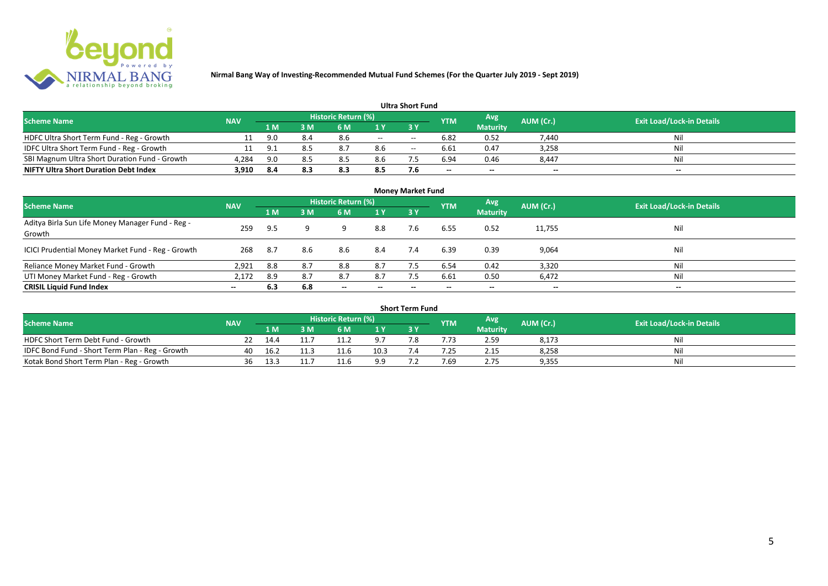

| <b>Ultra Short Fund</b>                       |            |       |     |                            |     |       |                          |                          |                          |                                  |  |  |  |
|-----------------------------------------------|------------|-------|-----|----------------------------|-----|-------|--------------------------|--------------------------|--------------------------|----------------------------------|--|--|--|
| <b>Scheme Name</b>                            | <b>NAV</b> |       |     | <b>Historic Return (%)</b> |     |       | <b>YTM</b>               | Avg                      | AUM (Cr.)                | <b>Exit Load/Lock-in Details</b> |  |  |  |
|                                               |            | '1 M. | 3 M | 6 M                        |     | 3 Y   |                          | <b>Maturity</b>          |                          |                                  |  |  |  |
| HDFC Ultra Short Term Fund - Reg - Growth     |            | 9.0   | 8.4 | 8.6                        | $-$ | $- -$ | 6.82                     | 0.52                     | 7,440                    | Nil                              |  |  |  |
| IDFC Ultra Short Term Fund - Reg - Growth     | 11         | 9.1   |     | 8.7                        | 8.6 | $- -$ | 6.61                     | 0.47                     | 3,258                    | Nil                              |  |  |  |
| SBI Magnum Ultra Short Duration Fund - Growth | 4,284      | 9.0   |     | 8.5                        | 8.6 |       | 6.94                     | 0.46                     | 8,447                    | Nil                              |  |  |  |
| <b>NIFTY Ultra Short Duration Debt Index</b>  | 3,910      | 8.4   | 8.3 | 8.3                        | 8.5 | 7.6   | $\overline{\phantom{a}}$ | $\overline{\phantom{a}}$ | $\overline{\phantom{a}}$ | $\overline{\phantom{a}}$         |  |  |  |

| <b>Money Market Fund</b>                                   |            |      |     |                          |                          |           |            |                 |                          |                                  |  |  |  |
|------------------------------------------------------------|------------|------|-----|--------------------------|--------------------------|-----------|------------|-----------------|--------------------------|----------------------------------|--|--|--|
| <b>Scheme Name</b>                                         | <b>NAV</b> |      |     | Historic Return (%)      |                          |           | <b>YTM</b> | Avg             | AUM (Cr.)                | <b>Exit Load/Lock-in Details</b> |  |  |  |
|                                                            |            | 1 M  | 3M  | 6 M                      | 1Y                       | <b>3Y</b> |            | <b>Maturity</b> |                          |                                  |  |  |  |
| Aditya Birla Sun Life Money Manager Fund - Reg -<br>Growth | 259        | 9.5  |     | a                        | 8.8                      | 7.6       | 6.55       | 0.52            | 11,755                   | Nil                              |  |  |  |
| ICICI Prudential Money Market Fund - Reg - Growth          | 268        | -8.7 | 8.6 | 8.6                      | 8.4                      | 7.4       | 6.39       | 0.39            | 9,064                    | Nil                              |  |  |  |
| Reliance Money Market Fund - Growth                        | 2,921      | 8.8  | 8.7 | 8.8                      | 8.7                      |           | 6.54       | 0.42            | 3,320                    | Nil                              |  |  |  |
| UTI Money Market Fund - Reg - Growth                       | 2,172      | 8.9  | 8.7 | 8.7                      | 8.7                      |           | 6.61       | 0.50            | 6,472                    | Nil                              |  |  |  |
| <b>CRISIL Liquid Fund Index</b>                            | $- -$      | 6.3  | 6.8 | $\overline{\phantom{a}}$ | $\overline{\phantom{a}}$ | --        | $\!-$      | $\sim$          | $\overline{\phantom{a}}$ | $\overline{\phantom{a}}$         |  |  |  |

| Short Term Fund                                 |            |      |  |                     |      |     |            |                 |           |                                  |  |  |  |
|-------------------------------------------------|------------|------|--|---------------------|------|-----|------------|-----------------|-----------|----------------------------------|--|--|--|
| <b>Scheme Name</b>                              | <b>NAV</b> |      |  | Historic Return (%) |      |     | <b>YTM</b> | Avg             | AUM (Cr.) | <b>Exit Load/Lock-in Details</b> |  |  |  |
|                                                 |            | 1 M  |  | 6 M                 | 1 V  |     |            | <b>Maturity</b> |           |                                  |  |  |  |
| HDFC Short Term Debt Fund - Growth              |            | 14.4 |  | 11.2                | οJ   | ה − |            | 2.59            | 8,173     | Nil                              |  |  |  |
| IDFC Bond Fund - Short Term Plan - Reg - Growth | 40         | 16.2 |  | 11.6                | 10.3 |     | .25        | 2.15            | 8,258     | Nil                              |  |  |  |
| Kotak Bond Short Term Plan - Reg - Growth       | 36         | 13.3 |  | 11.6                | 9.9  |     | 7.69       | 2.75            | 9,355     | Nil                              |  |  |  |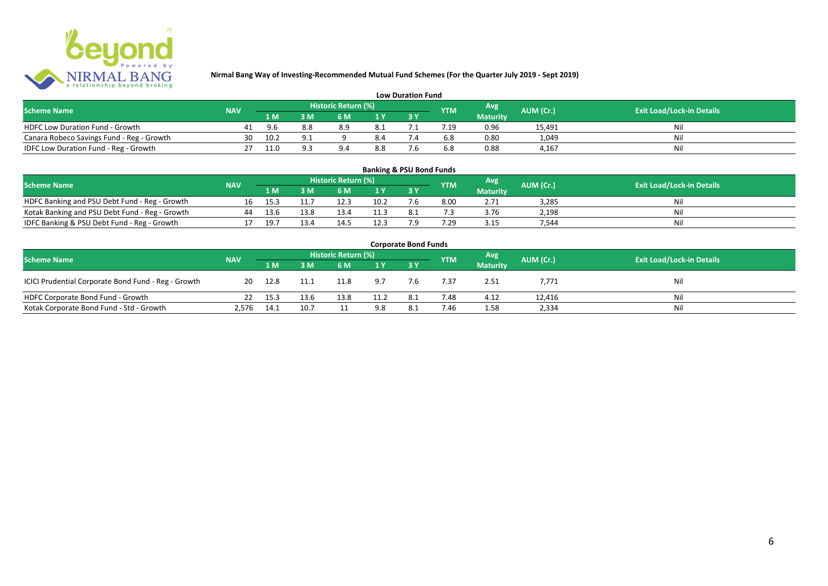

| <b>Low Duration Fund</b>                  |            |      |                |                     |      |  |            |                 |           |                                  |  |  |  |  |
|-------------------------------------------|------------|------|----------------|---------------------|------|--|------------|-----------------|-----------|----------------------------------|--|--|--|--|
| <b>Scheme Name</b>                        | <b>NAV</b> |      |                | Historic Return (%) |      |  | <b>YTM</b> | Avg             | AUM (Cr.) | <b>Exit Load/Lock-in Details</b> |  |  |  |  |
|                                           |            | 1 M  |                | 6 M.                |      |  |            | <b>Maturity</b> |           |                                  |  |  |  |  |
| <b>HDFC Low Duration Fund - Growth</b>    |            | 96   | 8.8            | 8.9                 | -8.1 |  |            | 0.96            | 15,491    | Nli                              |  |  |  |  |
| Canara Robeco Savings Fund - Reg - Growth | 30         | 10.2 | Q <sub>1</sub> |                     | 8.4  |  | 6.8        | 0.80            | 1,049     | Ni                               |  |  |  |  |
| IDFC Low Duration Fund - Reg - Growth     |            | 11.0 | a a            |                     | 8.8  |  | 6.8        | 0.88            | 4.167     | Ni                               |  |  |  |  |

| <b>Banking &amp; PSU Bond Funds</b>            |            |      |      |                     |      |     |                 |                 |                  |                                  |  |  |  |
|------------------------------------------------|------------|------|------|---------------------|------|-----|-----------------|-----------------|------------------|----------------------------------|--|--|--|
| <b>Scheme Name</b>                             | <b>NAV</b> |      |      | Historic Return (%) |      |     | <b>YTM</b>      | Avg             | <b>AUM (Cr.)</b> | <b>Exit Load/Lock-in Details</b> |  |  |  |
|                                                |            | 1 M  | 3 M. | 6 M                 | 1 Y  |     |                 | <b>Maturity</b> |                  |                                  |  |  |  |
| HDFC Banking and PSU Debt Fund - Reg - Growth  |            | 15.3 |      | 12.3                | 10.2 | '.b | 8.00            | 2.71            | 3.285            | Nil                              |  |  |  |
| Kotak Banking and PSU Debt Fund - Reg - Growth | 44         | 13.6 | 13.8 | 13.4                |      |     |                 | 3.76            | 2.198            | Nil                              |  |  |  |
| IDFC Banking & PSU Debt Fund - Reg - Growth    |            | 19.7 | 13.4 | 14.5                |      | ہ - | $^{\prime}$ .29 | 3.15            | 1.544            | Nil                              |  |  |  |

| <b>Corporate Bond Funds</b>                         |            |         |      |      |      |     |            |                 |           |                                  |  |  |  |
|-----------------------------------------------------|------------|---------|------|------|------|-----|------------|-----------------|-----------|----------------------------------|--|--|--|
| <b>Scheme Name</b>                                  | <b>NAV</b> |         |      |      |      |     | <b>YTM</b> | <b>Avg</b>      | AUM (Cr.) | <b>Exit Load/Lock-in Details</b> |  |  |  |
|                                                     |            | /1 M /  | 3 M  | 6 M  | 1Y   |     |            | <b>Maturity</b> |           |                                  |  |  |  |
| ICICI Prudential Corporate Bond Fund - Reg - Growth | 20         | 12.8    | 11.1 | 11.8 | 9.7  | 7.6 | 7.37       | 2.51            | 7,771     | Nil                              |  |  |  |
| HDFC Corporate Bond Fund - Growth                   |            | 22 15.3 | 13.6 | 13.8 | 11.2 | 8.1 | 7.48       | 4.12            | 12,416    | Ni                               |  |  |  |
| Kotak Corporate Bond Fund - Std - Growth            | 2,576      | 14.1    | 10.7 |      | 9.8  | 8.1 | 7.46       | 1.58            | 2,334     | Ni                               |  |  |  |